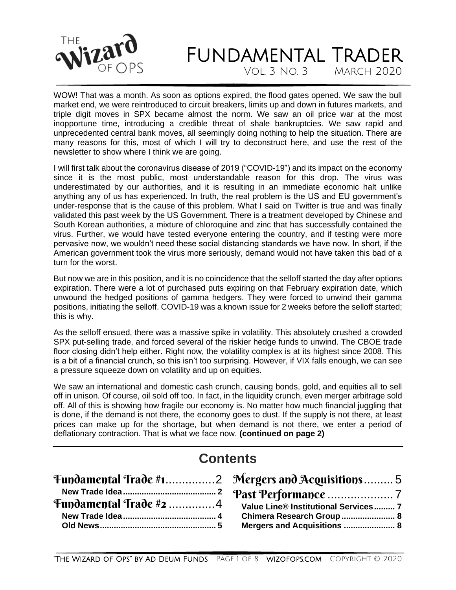

VOL.  $3$  NO.  $3$ 

WOW! That was a month. As soon as options expired, the flood gates opened. We saw the bull market end, we were reintroduced to circuit breakers, limits up and down in futures markets, and triple digit moves in SPX became almost the norm. We saw an oil price war at the most inopportune time, introducing a credible threat of shale bankruptcies. We saw rapid and unprecedented central bank moves, all seemingly doing nothing to help the situation. There are many reasons for this, most of which I will try to deconstruct here, and use the rest of the newsletter to show where I think we are going.

I will first talk about the coronavirus disease of 2019 ("COVID-19") and its impact on the economy since it is the most public, most understandable reason for this drop. The virus was underestimated by our authorities, and it is resulting in an immediate economic halt unlike anything any of us has experienced. In truth, the real problem is the US and EU government's under-response that is the cause of this problem. What I said on Twitter is true and was finally validated this past week by the US Government. There is a treatment developed by Chinese and South Korean authorities, a mixture of chloroquine and zinc that has successfully contained the virus. Further, we would have tested everyone entering the country, and if testing were more pervasive now, we wouldn't need these social distancing standards we have now. In short, if the American government took the virus more seriously, demand would not have taken this bad of a turn for the worst.

But now we are in this position, and it is no coincidence that the selloff started the day after options expiration. There were a lot of purchased puts expiring on that February expiration date, which unwound the hedged positions of gamma hedgers. They were forced to unwind their gamma positions, initiating the selloff. COVID-19 was a known issue for 2 weeks before the selloff started; this is why.

As the selloff ensued, there was a massive spike in volatility. This absolutely crushed a crowded SPX put-selling trade, and forced several of the riskier hedge funds to unwind. The CBOE trade floor closing didn't help either. Right now, the volatility complex is at its highest since 2008. This is a bit of a financial crunch, so this isn't too surprising. However, if VIX falls enough, we can see a pressure squeeze down on volatility and up on equities.

We saw an international and domestic cash crunch, causing bonds, gold, and equities all to sell off in unison. Of course, oil sold off too. In fact, in the liquidity crunch, even merger arbitrage sold off. All of this is showing how fragile our economy is. No matter how much financial juggling that is done, if the demand is not there, the economy goes to dust. If the supply is not there, at least prices can make up for the shortage, but when demand is not there, we enter a period of deflationary contraction. That is what we face now. **(continued on page 2)**

## **Contents**

| Fundamental Trade #2 4 Value Line® Institutional Services  7 |
|--------------------------------------------------------------|
| Chimera Research Group 8                                     |
| Mergers and Acquisitions  8                                  |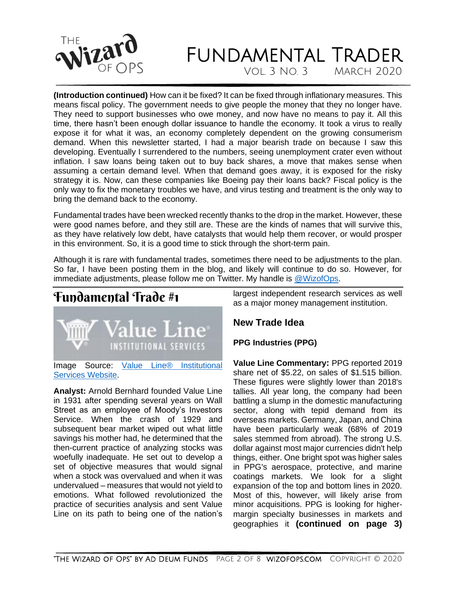

Vol. 3 No. 3 March 2020

**(Introduction continued)** How can it be fixed? It can be fixed through inflationary measures. This means fiscal policy. The government needs to give people the money that they no longer have. They need to support businesses who owe money, and now have no means to pay it. All this time, there hasn't been enough dollar issuance to handle the economy. It took a virus to really expose it for what it was, an economy completely dependent on the growing consumerism demand. When this newsletter started, I had a major bearish trade on because I saw this developing. Eventually I surrendered to the numbers, seeing unemployment crater even without inflation. I saw loans being taken out to buy back shares, a move that makes sense when assuming a certain demand level. When that demand goes away, it is exposed for the risky strategy it is. Now, can these companies like Boeing pay their loans back? Fiscal policy is the only way to fix the monetary troubles we have, and virus testing and treatment is the only way to bring the demand back to the economy.

Fundamental trades have been wrecked recently thanks to the drop in the market. However, these were good names before, and they still are. These are the kinds of names that will survive this, as they have relatively low debt, have catalysts that would help them recover, or would prosper in this environment. So, it is a good time to stick through the short-term pain.

Although it is rare with fundamental trades, sometimes there need to be adjustments to the plan. So far, I have been posting them in the blog, and likely will continue to do so. However, for immediate adjustments, please follow me on Twitter. My handle is [@WizofOps.](https://twitter.com/wizofops)

<span id="page-1-0"></span>

Image Source: [Value Line® Institutional](https://www.valuelinepro.com/)  [Services Website.](https://www.valuelinepro.com/)

**Analyst:** Arnold Bernhard founded Value Line in 1931 after spending several years on Wall Street as an employee of Moody's Investors Service. When the crash of 1929 and subsequent bear market wiped out what little savings his mother had, he determined that the then-current practice of analyzing stocks was woefully inadequate. He set out to develop a set of objective measures that would signal when a stock was overvalued and when it was undervalued – measures that would not yield to emotions. What followed revolutionized the practice of securities analysis and sent Value Line on its path to being one of the nation's largest independent research services as well as a major money management institution.

#### <span id="page-1-1"></span>**New Trade Idea**

#### **PPG Industries (PPG)**

**Value Line Commentary:** PPG reported 2019 share net of \$5.22, on sales of \$1.515 billion. These figures were slightly lower than 2018's tallies. All year long, the company had been battling a slump in the domestic manufacturing sector, along with tepid demand from its overseas markets. Germany, Japan, and China have been particularly weak (68% of 2019 sales stemmed from abroad). The strong U.S. dollar against most major currencies didn't help things, either. One bright spot was higher sales in PPG's aerospace, protective, and marine coatings markets. We look for a slight expansion of the top and bottom lines in 2020. Most of this, however, will likely arise from minor acquisitions. PPG is looking for highermargin specialty businesses in markets and geographies it **(continued on page 3)**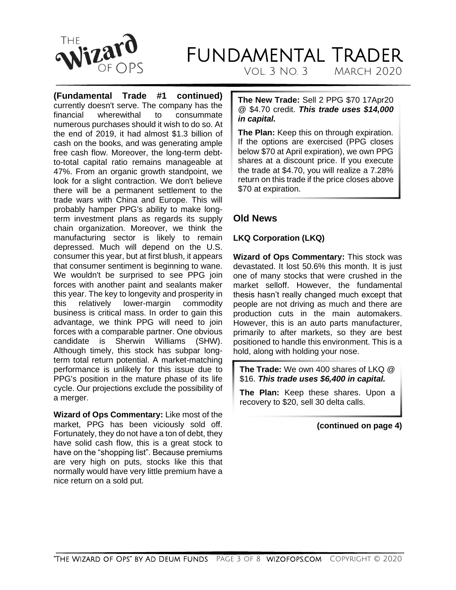

 $VOL$  3  $NO$  3

**(Fundamental Trade #1 continued)** currently doesn't serve. The company has the financial wherewithal to consummate numerous purchases should it wish to do so. At the end of 2019, it had almost \$1.3 billion of cash on the books, and was generating ample free cash flow. Moreover, the long-term debtto-total capital ratio remains manageable at 47%. From an organic growth standpoint, we look for a slight contraction. We don't believe there will be a permanent settlement to the trade wars with China and Europe. This will probably hamper PPG's ability to make longterm investment plans as regards its supply chain organization. Moreover, we think the manufacturing sector is likely to remain depressed. Much will depend on the U.S. consumer this year, but at first blush, it appears that consumer sentiment is beginning to wane. We wouldn't be surprised to see PPG join forces with another paint and sealants maker this year. The key to longevity and prosperity in this relatively lower-margin commodity business is critical mass. In order to gain this advantage, we think PPG will need to join forces with a comparable partner. One obvious candidate is Sherwin Williams (SHW). Although timely, this stock has subpar longterm total return potential. A market-matching performance is unlikely for this issue due to PPG's position in the mature phase of its life cycle. Our projections exclude the possibility of a merger.

**Wizard of Ops Commentary:** Like most of the market, PPG has been viciously sold off. Fortunately, they do not have a ton of debt, they have solid cash flow, this is a great stock to have on the "shopping list". Because premiums are very high on puts, stocks like this that normally would have very little premium have a nice return on a sold put.

**The New Trade:** Sell 2 PPG \$70 17Apr20 @ \$4.70 credit. *This trade uses \$14,000 in capital.*

**The Plan:** Keep this on through expiration. If the options are exercised (PPG closes below \$70 at April expiration), we own PPG shares at a discount price. If you execute the trade at \$4.70, you will realize a 7.28% return on this trade if the price closes above \$70 at expiration.

#### **Old News**

#### **LKQ Corporation (LKQ)**

**Wizard of Ops Commentary:** This stock was devastated. It lost 50.6% this month. It is just one of many stocks that were crushed in the market selloff. However, the fundamental thesis hasn't really changed much except that people are not driving as much and there are production cuts in the main automakers. However, this is an auto parts manufacturer, primarily to after markets, so they are best positioned to handle this environment. This is a hold, along with holding your nose.

**The Trade:** We own 400 shares of LKQ @ \$16. *This trade uses \$6,400 in capital.*

**The Plan:** Keep these shares. Upon a recovery to \$20, sell 30 delta calls.

**(continued on page 4)**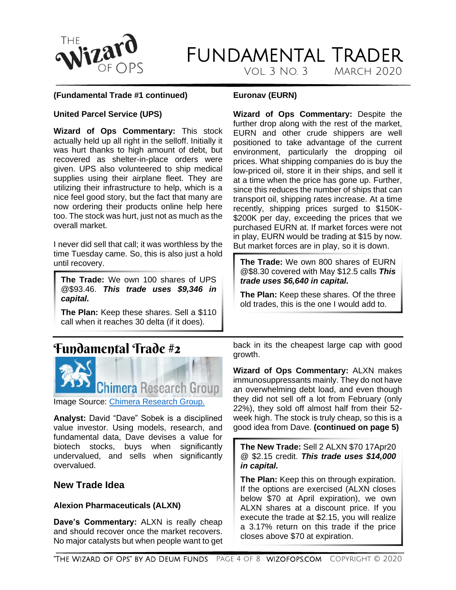

VOL.  $3$  NO.  $3$ 

#### **(Fundamental Trade #1 continued)**

#### **Euronav (EURN)**

#### **United Parcel Service (UPS)**

**Wizard of Ops Commentary:** This stock actually held up all right in the selloff. Initially it was hurt thanks to high amount of debt, but recovered as shelter-in-place orders were given. UPS also volunteered to ship medical supplies using their airplane fleet. They are utilizing their infrastructure to help, which is a nice feel good story, but the fact that many are now ordering their products online help here too. The stock was hurt, just not as much as the overall market.

I never did sell that call; it was worthless by the time Tuesday came. So, this is also just a hold until recovery.

**The Trade:** We own 100 shares of UPS @\$93.46. *This trade uses \$9,346 in capital.*

**The Plan:** Keep these shares. Sell a \$110 call when it reaches 30 delta (if it does).

### <span id="page-3-0"></span>Fundamental Trade #2



Image Source: [Chimera Research Group.](https://www.chimeraresearchgroup.com/)

**Analyst:** David "Dave" Sobek is a disciplined value investor. Using models, research, and fundamental data, Dave devises a value for biotech stocks, buys when significantly undervalued, and sells when significantly overvalued.

#### <span id="page-3-1"></span>**New Trade Idea**

#### **Alexion Pharmaceuticals (ALXN)**

**Dave's Commentary:** ALXN is really cheap and should recover once the market recovers. No major catalysts but when people want to get **Wizard of Ops Commentary:** Despite the further drop along with the rest of the market, EURN and other crude shippers are well positioned to take advantage of the current environment, particularly the dropping oil prices. What shipping companies do is buy the low-priced oil, store it in their ships, and sell it at a time when the price has gone up. Further, since this reduces the number of ships that can transport oil, shipping rates increase. At a time recently, shipping prices surged to \$150K- \$200K per day, exceeding the prices that we purchased EURN at. If market forces were not in play, EURN would be trading at \$15 by now. But market forces are in play, so it is down.

**The Trade:** We own 800 shares of EURN @\$8.30 covered with May \$12.5 calls *This trade uses \$6,640 in capital.*

**The Plan:** Keep these shares. Of the three old trades, this is the one I would add to.

back in its the cheapest large cap with good growth.

**Wizard of Ops Commentary:** ALXN makes immunosuppressants mainly. They do not have an overwhelming debt load, and even though they did not sell off a lot from February (only 22%), they sold off almost half from their 52 week high. The stock is truly cheap, so this is a good idea from Dave. **(continued on page 5)**

**The New Trade:** Sell 2 ALXN \$70 17Apr20 @ \$2.15 credit. *This trade uses \$14,000 in capital.*

**The Plan:** Keep this on through expiration. If the options are exercised (ALXN closes below \$70 at April expiration), we own ALXN shares at a discount price. If you execute the trade at \$2.15, you will realize a 3.17% return on this trade if the price closes above \$70 at expiration.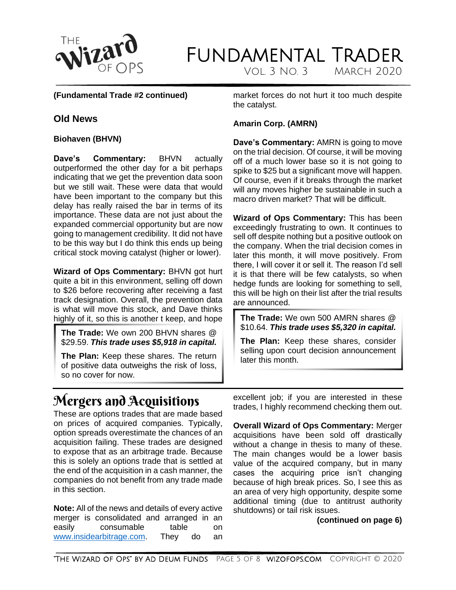

### **FUNDAMENTAL TRADER** VOL.  $3$  NO.  $3$

**(Fundamental Trade #2 continued)**

#### <span id="page-4-0"></span>**Old News**

#### **Biohaven (BHVN)**

**Dave's Commentary:** BHVN actually outperformed the other day for a bit perhaps indicating that we get the prevention data soon but we still wait. These were data that would have been important to the company but this delay has really raised the bar in terms of its importance. These data are not just about the expanded commercial opportunity but are now going to management credibility. It did not have to be this way but I do think this ends up being critical stock moving catalyst (higher or lower).

**Wizard of Ops Commentary:** BHVN got hurt quite a bit in this environment, selling off down to \$26 before recovering after receiving a fast track designation. Overall, the prevention data is what will move this stock, and Dave thinks highly of it, so this is another t keep, and hope

**The Trade:** We own 200 BHVN shares @ \$29.59. *This trade uses \$5,918 in capital.*

**The Plan:** Keep these shares. The return of positive data outweighs the risk of loss, so no cover for now.

market forces do not hurt it too much despite the catalyst.

#### **Amarin Corp. (AMRN)**

**Dave's Commentary:** AMRN is going to move on the trial decision. Of course, it will be moving off of a much lower base so it is not going to spike to \$25 but a significant move will happen. Of course, even if it breaks through the market will any moves higher be sustainable in such a macro driven market? That will be difficult.

**Wizard of Ops Commentary:** This has been exceedingly frustrating to own. It continues to sell off despite nothing but a positive outlook on the company. When the trial decision comes in later this month, it will move positively. From there, I will cover it or sell it. The reason I'd sell it is that there will be few catalysts, so when hedge funds are looking for something to sell, this will be high on their list after the trial results are announced.

**The Trade:** We own 500 AMRN shares @ \$10.64. *This trade uses \$5,320 in capital.*

**The Plan:** Keep these shares, consider selling upon court decision announcement later this month.

## <span id="page-4-1"></span>Mergers and Acquisitions

These are options trades that are made based on prices of acquired companies. Typically, option spreads overestimate the chances of an acquisition failing. These trades are designed to expose that as an arbitrage trade. Because this is solely an options trade that is settled at the end of the acquisition in a cash manner, the companies do not benefit from any trade made in this section.

**Note:** All of the news and details of every active merger is consolidated and arranged in an easily consumable table on [www.insidearbitrage.com.](http://www.insidearbitrage.com/) They do an

excellent job; if you are interested in these trades, I highly recommend checking them out.

**Overall Wizard of Ops Commentary:** Merger acquisitions have been sold off drastically without a change in thesis to many of these. The main changes would be a lower basis value of the acquired company, but in many cases the acquiring price isn't changing because of high break prices. So, I see this as an area of very high opportunity, despite some additional timing (due to antitrust authority shutdowns) or tail risk issues.

#### **(continued on page 6)**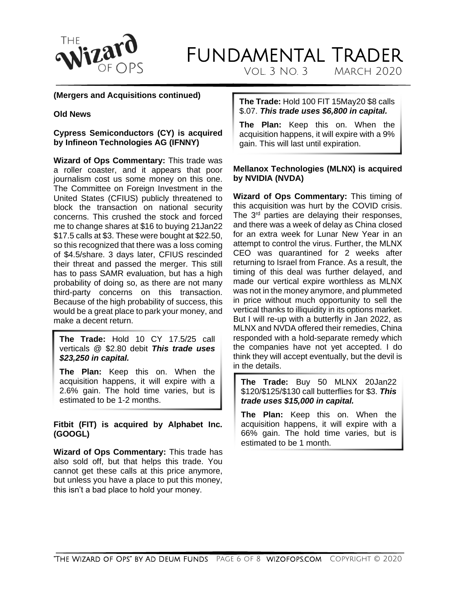

VOL.  $3$  NO.  $3$ 

#### **(Mergers and Acquisitions continued)**

#### **Old News**

#### **Cypress Semiconductors (CY) is acquired by Infineon Technologies AG (IFNNY)**

**Wizard of Ops Commentary:** This trade was a roller coaster, and it appears that poor journalism cost us some money on this one. The Committee on Foreign Investment in the United States (CFIUS) publicly threatened to block the transaction on national security concerns. This crushed the stock and forced me to change shares at \$16 to buying 21Jan22 \$17.5 calls at \$3. These were bought at \$22.50, so this recognized that there was a loss coming of \$4.5/share. 3 days later, CFIUS rescinded their threat and passed the merger. This still has to pass SAMR evaluation, but has a high probability of doing so, as there are not many third-party concerns on this transaction. Because of the high probability of success, this would be a great place to park your money, and make a decent return.

#### **The Trade:** Hold 10 CY 17.5/25 call verticals @ \$2.80 debit *This trade uses \$23,250 in capital.*

**The Plan:** Keep this on. When the acquisition happens, it will expire with a 2.6% gain. The hold time varies, but is estimated to be 1-2 months.

#### **Fitbit (FIT) is acquired by Alphabet Inc. (GOOGL)**

**Wizard of Ops Commentary:** This trade has also sold off, but that helps this trade. You cannot get these calls at this price anymore, but unless you have a place to put this money, this isn't a bad place to hold your money.

#### **The Trade:** Hold 100 FIT 15May20 \$8 calls \$.07. *This trade uses \$6,800 in capital.*

**The Plan:** Keep this on. When the acquisition happens, it will expire with a 9% gain. This will last until expiration.

#### **Mellanox Technologies (MLNX) is acquired by NVIDIA (NVDA)**

**Wizard of Ops Commentary:** This timing of this acquisition was hurt by the COVID crisis. The 3<sup>rd</sup> parties are delaying their responses, and there was a week of delay as China closed for an extra week for Lunar New Year in an attempt to control the virus. Further, the MLNX CEO was quarantined for 2 weeks after returning to Israel from France. As a result, the timing of this deal was further delayed, and made our vertical expire worthless as MLNX was not in the money anymore, and plummeted in price without much opportunity to sell the vertical thanks to illiquidity in its options market. But I will re-up with a butterfly in Jan 2022, as MLNX and NVDA offered their remedies, China responded with a hold-separate remedy which the companies have not yet accepted. I do think they will accept eventually, but the devil is in the details.

**The Trade:** Buy 50 MLNX 20Jan22 \$120/\$125/\$130 call butterflies for \$3. *This trade uses \$15,000 in capital.*

**The Plan:** Keep this on. When the acquisition happens, it will expire with a 66% gain. The hold time varies, but is estimated to be 1 month.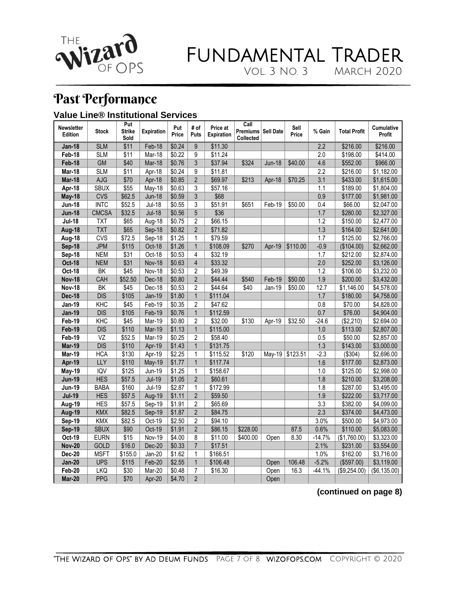

### Fundamental Trader Vol. 3 No. 3 March 2020

## <span id="page-6-0"></span>Past Performance

#### <span id="page-6-1"></span>**Value Line® Institutional Services**

| <b>Newsletter</b><br>Edition | <b>Stock</b>             | Put<br><b>Strike</b><br>Sold | <b>Expiration</b> | Put<br>Price       | # of<br>Puts   | Price at<br><b>Expiration</b> | Call<br>Premiums   Sell Date<br>Collected |               | Sell<br>Price     | % Gain           | <b>Total Profit</b> | <b>Cumulative</b><br>Profit |
|------------------------------|--------------------------|------------------------------|-------------------|--------------------|----------------|-------------------------------|-------------------------------------------|---------------|-------------------|------------------|---------------------|-----------------------------|
| <b>Jan-18</b>                | <b>SLM</b>               | $\overline{$11}$             | Feb-18            | \$0.24             | $\overline{9}$ | \$11.30                       |                                           |               |                   | $\overline{2.2}$ | \$216.00            | \$216.00                    |
| Feb-18                       | <b>SLM</b>               | \$11                         | Mar-18            | \$0.22             | 9              | \$11.24                       |                                           |               |                   | 2.0              | \$198.00            | \$414.00                    |
| Feb-18                       | <b>GM</b>                | \$40                         | Mar-18            | \$0.76             | 3              | \$37.94                       | \$324                                     | <b>Jun-18</b> | \$40.00           | 4.6              | \$552.00            | \$966.00                    |
| Mar-18                       | <b>SLM</b>               | $\overline{$11}$             | Apr-18            | $\sqrt{$0.24}$     | 9              | \$11.81                       |                                           |               |                   | $\overline{2.2}$ | \$216.00            | \$1,182.00                  |
| Mar-18                       | <b>AJG</b>               | \$70                         | Apr-18            | \$0.85             | $\overline{2}$ | \$69.97                       | \$213                                     | Apr-18        | \$70.25           | $\overline{3.1}$ | \$433.00            | \$1,615.00                  |
| Apr-18                       | <b>SBUX</b>              | \$55                         | May-18            | \$0.63             | 3              | \$57.16                       |                                           |               |                   | 1.1              | \$189.00            | \$1,804.00                  |
| <b>May-18</b>                | <b>CVS</b>               | \$62.5                       | <b>Jun-18</b>     | \$0.59             | 3              | \$68                          |                                           |               |                   | 0.9              | \$177.00            | \$1,981.00                  |
| <b>Jun-18</b>                | <b>INTC</b>              | \$52.5                       | <b>Jul-18</b>     | \$0.55             | 3              | \$51.91                       | \$651                                     | Feb-19        | \$50.00           | 0.4              | \$66.00             | \$2,047.00                  |
| <b>Jun-18</b>                | <b>CMCSA</b>             | \$32.5                       | <b>Jul-18</b>     | \$0.56             | 5              | \$36                          |                                           |               |                   | 1.7              | \$280.00            | \$2,327.00                  |
| <b>Jul-18</b>                | <b>TXT</b>               | \$65                         | Aug-18            | $\overline{$}0.75$ | $\overline{c}$ | \$66.15                       |                                           |               |                   | 1.2              | \$150.00            | \$2,477.00                  |
| Aug-18                       | <b>TXT</b>               | \$65                         | Sep-18            | \$0.82             | $\overline{2}$ | \$71.82                       |                                           |               |                   | 1.3              | \$164.00            | \$2,641.00                  |
| Aug-18                       | <b>CVS</b>               | \$72.5                       | Sep-18            | \$1.25             | 1              | \$79.59                       |                                           |               |                   | 1.7              | \$125.00            | \$2,766.00                  |
| Sep-18                       | <b>JPM</b>               | \$115                        | Oct-18            | \$1.26             | $\mathbf{1}$   | \$108.09                      | \$270                                     | Apr-19        | \$110.00          | $-0.9$           | (\$104.00)          | \$2,662.00                  |
| Sep-18                       | <b>NEM</b>               | \$31                         | Oct-18            | \$0.53             | $\overline{4}$ | \$32.19                       |                                           |               |                   | 1.7              | \$212.00            | \$2,874.00                  |
| <b>Oct-18</b>                | <b>NEM</b>               | \$31                         | <b>Nov-18</b>     | \$0.63             | $\overline{4}$ | \$33.32                       |                                           |               |                   | 2.0              | \$252.00            | \$3,126.00                  |
| <b>Oct-18</b>                | $\overline{\mathsf{BK}}$ | \$45                         | Nov-18            | \$0.53             | $\overline{2}$ | \$49.39                       |                                           |               |                   | 1.2              | \$106.00            | \$3,232.00                  |
| <b>Nov-18</b>                | CAH                      | \$52.50                      | Dec-18            | \$0.80             | $\overline{2}$ | \$44.44                       | \$540                                     | Feb-19        | \$50.00           | 1.9              | \$200.00            | \$3,432.00                  |
| <b>Nov-18</b>                | BK                       | \$45                         | Dec-18            | \$0.53             | $\overline{2}$ | \$44.64                       | \$40                                      | Jan-19        | \$50.00           | 12.7             | \$1,146.00          | \$4,578.00                  |
| <b>Dec-18</b>                | <b>DIS</b>               | \$105                        | <b>Jan-19</b>     | \$1.80             | $\mathbf{1}$   | \$111.04                      |                                           |               |                   | 1.7              | \$180.00            | \$4,758.00                  |
| <b>Jan-19</b>                | KHC                      | \$45                         | $Feb-19$          | \$0.35             | $\overline{2}$ | \$47.62                       |                                           |               |                   | 0.8              | \$70.00             | \$4,828.00                  |
| <b>Jan-19</b>                | <b>DIS</b>               | \$105                        | Feb-19            | \$0.76             | $\mathbf{1}$   | \$112.59                      |                                           |               |                   | 0.7              | \$76.00             | \$4,904.00                  |
| Feb-19                       | KHC                      | \$45                         | Mar-19            | \$0.80             | $\overline{c}$ | \$32.00                       | \$130                                     | Apr-19        | \$32.50           | $-24.6$          | (\$2,210)           | \$2.694.00                  |
| Feb-19                       | <b>DIS</b>               | \$110                        | Mar-19            | \$1.13             | $\mathbf{1}$   | \$115.00                      |                                           |               |                   | $1.0\,$          | \$113.00            | \$2,807.00                  |
| Feb-19                       | $\overline{VZ}$          | \$52.5                       | Mar-19            | \$0.25             | $\overline{2}$ | \$58.40                       |                                           |               |                   | 0.5              | \$50.00             | \$2,857.00                  |
| Mar-19                       | $\overline{DIS}$         | \$110                        | Apr-19            | \$1.43             | $\mathbf{1}$   | \$131.75                      |                                           |               |                   | 1.3              | \$143.00            | \$3,000.00                  |
| Mar-19                       | <b>HCA</b>               | \$130                        | Apr-19            | \$2.25             | $\mathbf{1}$   | \$115.52                      | \$120                                     |               | May-19   \$123.51 | $-2.3$           | (\$304)             | \$2,696.00                  |
| Apr-19                       | <b>LLY</b>               | \$110                        | May-19            | \$1.77             | $\mathbf{1}$   | \$117.74                      |                                           |               |                   | 1.6              | \$177.00            | \$2,873.00                  |
| May-19                       | <b>IQV</b>               | \$125                        | Jun-19            | \$1.25             | $\mathbf{1}$   | \$158.67                      |                                           |               |                   | 1.0              | \$125.00            | \$2,998.00                  |
| <b>Jun-19</b>                | <b>HES</b>               | \$57.5                       | <b>Jul-19</b>     | \$1.05             | $\overline{2}$ | \$60.61                       |                                           |               |                   | 1.8              | \$210.00            | \$3,208.00                  |
| <b>Jun-19</b>                | <b>BABA</b>              | \$160                        | <b>Jul-19</b>     | \$2.87             | $\mathbf{1}$   | \$172.99                      |                                           |               |                   | 1.8              | \$287.00            | \$3,495.00                  |
| <b>Jul-19</b>                | <b>HES</b>               | \$57.5                       | Aug-19            | \$1.11             | $\overline{2}$ | \$59.50                       |                                           |               |                   | 1.9              | \$222.00            | \$3,717.00                  |
| Aug-19                       | <b>HES</b>               | \$57.5                       | Sep-19            | \$1.91             | $\overline{c}$ | \$65.69                       |                                           |               |                   | 3.3              | \$382.00            | \$4,099.00                  |
| <b>Aug-19</b>                | <b>KMX</b>               | \$82.5                       | Sep-19            | \$1.87             | $\overline{2}$ | \$84.75                       |                                           |               |                   | 2.3              | \$374.00            | \$4,473.00                  |
| Sep-19                       | <b>KMX</b>               | \$82.5                       | Oct-19            | \$2.50             | $\overline{c}$ | \$94.10                       |                                           |               |                   | 3.0%             | \$500.00            | \$4,973.00                  |
| <b>Sep-19</b>                | <b>SBUX</b>              | \$90                         | Oct-19            | \$1.91             | $\overline{2}$ | \$86.15                       | \$228.00                                  |               | 87.5              | 0.6%             | \$110.00            | \$5,083.00                  |
| Oct-19                       | <b>EURN</b>              | \$15                         | Nov-19            | \$4.00             | 8              | \$11.00                       | \$400.00                                  | Open          | 8.30              | $-14.7%$         | (\$1,760.00)        | \$3,323.00                  |
| <b>Nov-20</b>                | GOLD                     | \$16.0                       | Dec-20            | \$0.33             | $\overline{7}$ | \$17.51                       |                                           |               |                   | 2.1%             | \$231.00            | \$3,554.00                  |
| <b>Dec-20</b>                | <b>MSFT</b>              | \$155.0                      | $Jan-20$          | \$1.62             | $\mathbf{1}$   | \$166.51                      |                                           |               |                   | 1.0%             | \$162.00            | \$3,716.00                  |
| <b>Jan-20</b>                | <b>UPS</b>               | \$115                        | Feb-20            | \$2.55             | $\mathbf{1}$   | \$106.48                      |                                           | Open          | 106.48            | $-5.2%$          | (\$597.00)          | \$3,119.00                  |
| Feb-20                       | <b>LKQ</b>               | \$30                         | Mar-20            | \$0.48             | $\overline{7}$ | \$16.30                       |                                           | Open          | 16.3              | $-44.1%$         | (\$9,254.00)        | (\$6,135.00)                |
| Mar-20                       | <b>PPG</b>               | \$70                         | Apr-20            | \$4.70             | $\overline{2}$ |                               |                                           | Open          |                   |                  |                     |                             |

#### **(continued on page 8)**